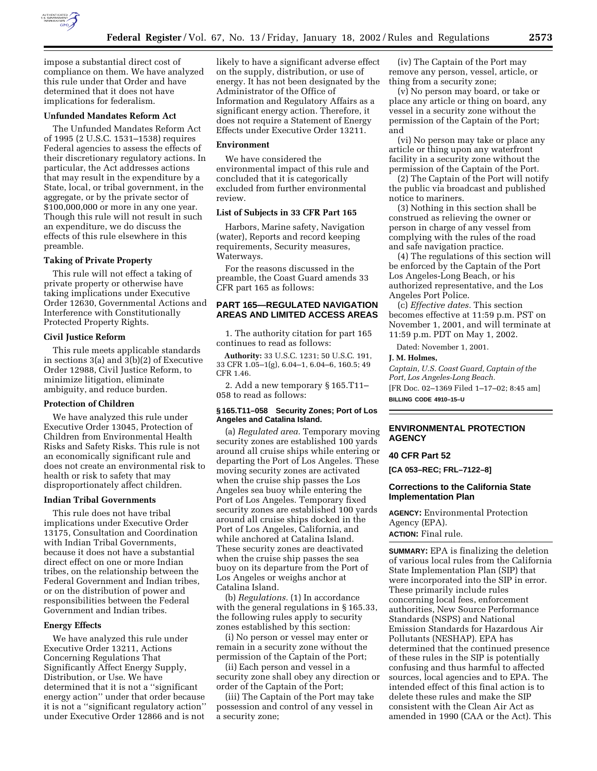

impose a substantial direct cost of compliance on them. We have analyzed this rule under that Order and have determined that it does not have implications for federalism.

### **Unfunded Mandates Reform Act**

The Unfunded Mandates Reform Act of 1995 (2 U.S.C. 1531–1538) requires Federal agencies to assess the effects of their discretionary regulatory actions. In particular, the Act addresses actions that may result in the expenditure by a State, local, or tribal government, in the aggregate, or by the private sector of \$100,000,000 or more in any one year. Though this rule will not result in such an expenditure, we do discuss the effects of this rule elsewhere in this preamble.

### **Taking of Private Property**

This rule will not effect a taking of private property or otherwise have taking implications under Executive Order 12630, Governmental Actions and Interference with Constitutionally Protected Property Rights.

## **Civil Justice Reform**

This rule meets applicable standards in sections 3(a) and 3(b)(2) of Executive Order 12988, Civil Justice Reform, to minimize litigation, eliminate ambiguity, and reduce burden.

## **Protection of Children**

We have analyzed this rule under Executive Order 13045, Protection of Children from Environmental Health Risks and Safety Risks. This rule is not an economically significant rule and does not create an environmental risk to health or risk to safety that may disproportionately affect children.

#### **Indian Tribal Governments**

This rule does not have tribal implications under Executive Order 13175, Consultation and Coordination with Indian Tribal Governments, because it does not have a substantial direct effect on one or more Indian tribes, on the relationship between the Federal Government and Indian tribes, or on the distribution of power and responsibilities between the Federal Government and Indian tribes.

## **Energy Effects**

We have analyzed this rule under Executive Order 13211, Actions Concerning Regulations That Significantly Affect Energy Supply, Distribution, or Use. We have determined that it is not a ''significant energy action'' under that order because it is not a ''significant regulatory action'' under Executive Order 12866 and is not

likely to have a significant adverse effect on the supply, distribution, or use of energy. It has not been designated by the Administrator of the Office of Information and Regulatory Affairs as a significant energy action. Therefore, it does not require a Statement of Energy Effects under Executive Order 13211.

#### **Environment**

We have considered the environmental impact of this rule and concluded that it is categorically excluded from further environmental review.

## **List of Subjects in 33 CFR Part 165**

Harbors, Marine safety, Navigation (water), Reports and record keeping requirements, Security measures, Waterways.

For the reasons discussed in the preamble, the Coast Guard amends 33 CFR part 165 as follows:

# **PART 165—REGULATED NAVIGATION AREAS AND LIMITED ACCESS AREAS**

1. The authority citation for part 165 continues to read as follows:

**Authority:** 33 U.S.C. 1231; 50 U.S.C. 191, 33 CFR 1.05–1(g), 6.04–1, 6.04–6, 160.5; 49 CFR 1.46.

2. Add a new temporary § 165.T11– 058 to read as follows:

### **§ 165.T11–058 Security Zones; Port of Los Angeles and Catalina Island.**

(a) *Regulated area.* Temporary moving security zones are established 100 yards around all cruise ships while entering or departing the Port of Los Angeles. These moving security zones are activated when the cruise ship passes the Los Angeles sea buoy while entering the Port of Los Angeles. Temporary fixed security zones are established 100 yards around all cruise ships docked in the Port of Los Angeles, California, and while anchored at Catalina Island. These security zones are deactivated when the cruise ship passes the sea buoy on its departure from the Port of Los Angeles or weighs anchor at Catalina Island.

(b) *Regulations.* (1) In accordance with the general regulations in § 165.33, the following rules apply to security zones established by this section:

(i) No person or vessel may enter or remain in a security zone without the permission of the Captain of the Port;

(ii) Each person and vessel in a security zone shall obey any direction or order of the Captain of the Port;

(iii) The Captain of the Port may take possession and control of any vessel in a security zone;

(iv) The Captain of the Port may remove any person, vessel, article, or thing from a security zone;

(v) No person may board, or take or place any article or thing on board, any vessel in a security zone without the permission of the Captain of the Port; and

(vi) No person may take or place any article or thing upon any waterfront facility in a security zone without the permission of the Captain of the Port.

(2) The Captain of the Port will notify the public via broadcast and published notice to mariners.

(3) Nothing in this section shall be construed as relieving the owner or person in charge of any vessel from complying with the rules of the road and safe navigation practice.

(4) The regulations of this section will be enforced by the Captain of the Port Los Angeles-Long Beach, or his authorized representative, and the Los Angeles Port Police.

(c) *Effective dates.* This section becomes effective at 11:59 p.m. PST on November 1, 2001, and will terminate at 11:59 p.m. PDT on May 1, 2002.

Dated: November 1, 2001.

# **J. M. Holmes,**

*Captain, U.S. Coast Guard, Captain of the Port, Los Angeles-Long Beach.* [FR Doc. 02–1369 Filed 1–17–02; 8:45 am] **BILLING CODE 4910–15–U**

## **ENVIRONMENTAL PROTECTION AGENCY**

## **40 CFR Part 52**

**[CA 053–REC; FRL–7122–8]**

## **Corrections to the California State Implementation Plan**

**AGENCY:** Environmental Protection Agency (EPA). **ACTION:** Final rule.

**SUMMARY:** EPA is finalizing the deletion of various local rules from the California State Implementation Plan (SIP) that were incorporated into the SIP in error. These primarily include rules concerning local fees, enforcement authorities, New Source Performance Standards (NSPS) and National Emission Standards for Hazardous Air Pollutants (NESHAP). EPA has determined that the continued presence of these rules in the SIP is potentially confusing and thus harmful to affected sources, local agencies and to EPA. The intended effect of this final action is to delete these rules and make the SIP consistent with the Clean Air Act as amended in 1990 (CAA or the Act). This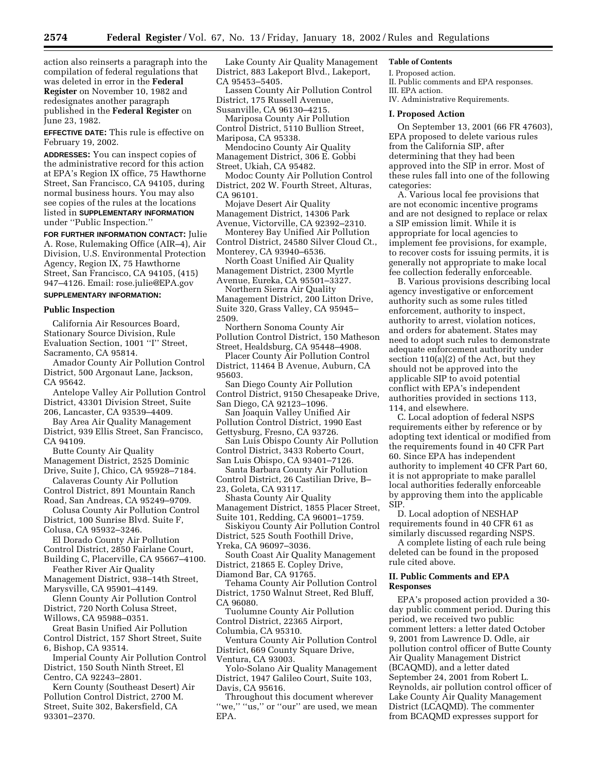action also reinserts a paragraph into the compilation of federal regulations that was deleted in error in the **Federal Register** on November 10, 1982 and redesignates another paragraph published in the **Federal Register** on June 23, 1982.

**EFFECTIVE DATE:** This rule is effective on February 19, 2002.

**ADDRESSES:** You can inspect copies of the administrative record for this action at EPA's Region IX office, 75 Hawthorne Street, San Francisco, CA 94105, during normal business hours. You may also see copies of the rules at the locations listed in **SUPPLEMENTARY INFORMATION** under ''Public Inspection.''

**FOR FURTHER INFORMATION CONTACT:** Julie A. Rose, Rulemaking Office (AIR–4), Air Division, U.S. Environmental Protection Agency, Region IX, 75 Hawthorne Street, San Francisco, CA 94105, (415) 947–4126. Email: rose.julie@EPA.gov

# **SUPPLEMENTARY INFORMATION:**

#### **Public Inspection**

California Air Resources Board, Stationary Source Division, Rule Evaluation Section, 1001 ''I'' Street, Sacramento, CA 95814.

Amador County Air Pollution Control District, 500 Argonaut Lane, Jackson, CA 95642.

Antelope Valley Air Pollution Control District, 43301 Division Street, Suite 206, Lancaster, CA 93539–4409.

Bay Area Air Quality Management District, 939 Ellis Street, San Francisco, CA 94109.

Butte County Air Quality Management District, 2525 Dominic Drive, Suite J, Chico, CA 95928–7184.

Calaveras County Air Pollution Control District, 891 Mountain Ranch Road, San Andreas, CA 95249–9709.

Colusa County Air Pollution Control District, 100 Sunrise Blvd. Suite F, Colusa, CA 95932–3246.

El Dorado County Air Pollution Control District, 2850 Fairlane Court,

Building C, Placerville, CA 95667–4100. Feather River Air Quality

Management District, 938–14th Street, Marysville, CA 95901–4149.

Glenn County Air Pollution Control District, 720 North Colusa Street, Willows, CA 95988–0351.

Great Basin Unified Air Pollution Control District, 157 Short Street, Suite 6, Bishop, CA 93514.

Imperial County Air Pollution Control District, 150 South Ninth Street, El Centro, CA 92243–2801.

Kern County (Southeast Desert) Air Pollution Control District, 2700 M. Street, Suite 302, Bakersfield, CA 93301–2370.

Lake County Air Quality Management District, 883 Lakeport Blvd., Lakeport, CA 95453–5405.

Lassen County Air Pollution Control District, 175 Russell Avenue, Susanville, CA 96130–4215.

Mariposa County Air Pollution Control District, 5110 Bullion Street, Mariposa, CA 95338.

Mendocino County Air Quality Management District, 306 E. Gobbi Street, Ukiah, CA 95482.

Modoc County Air Pollution Control District, 202 W. Fourth Street, Alturas, CA 96101.

Mojave Desert Air Quality Management District, 14306 Park

Avenue, Victorville, CA 92392–2310. Monterey Bay Unified Air Pollution

Control District, 24580 Silver Cloud Ct., Monterey, CA 93940–6536.

North Coast Unified Air Quality Management District, 2300 Myrtle Avenue, Eureka, CA 95501–3327.

Northern Sierra Air Quality Management District, 200 Litton Drive,

Suite 320, Grass Valley, CA 95945– 2509.

Northern Sonoma County Air Pollution Control District, 150 Matheson Street, Healdsburg, CA 95448–4908.

Placer County Air Pollution Control District, 11464 B Avenue, Auburn, CA 95603.

San Diego County Air Pollution Control District, 9150 Chesapeake Drive, San Diego, CA 92123–1096.

San Joaquin Valley Unified Air Pollution Control District, 1990 East

Gettysburg, Fresno, CA 93726. San Luis Obispo County Air Pollution Control District, 3433 Roberto Court,

San Luis Obispo, CA 93401–7126.

Santa Barbara County Air Pollution Control District, 26 Castilian Drive, B– 23, Goleta, CA 93117.

Shasta County Air Quality Management District, 1855 Placer Street,

Suite 101, Redding, CA 96001–1759. Siskiyou County Air Pollution Control District, 525 South Foothill Drive,

Yreka, CA 96097–3036.

South Coast Air Quality Management District, 21865 E. Copley Drive,

Diamond Bar, CA 91765.

Tehama County Air Pollution Control District, 1750 Walnut Street, Red Bluff, CA 96080.

Tuolumne County Air Pollution Control District, 22365 Airport, Columbia, CA 95310.

Ventura County Air Pollution Control District, 669 County Square Drive, Ventura, CA 93003.

Yolo-Solano Air Quality Management District, 1947 Galileo Court, Suite 103, Davis, CA 95616.

Throughout this document wherever "we," "us," or "our" are used, we mean EPA.

### **Table of Contents**

I. Proposed action. II. Public comments and EPA responses. III. EPA action. IV. Administrative Requirements.

#### **I. Proposed Action**

On September 13, 2001 (66 FR 47603), EPA proposed to delete various rules from the California SIP, after determining that they had been approved into the SIP in error. Most of these rules fall into one of the following categories:

A. Various local fee provisions that are not economic incentive programs and are not designed to replace or relax a SIP emission limit. While it is appropriate for local agencies to implement fee provisions, for example, to recover costs for issuing permits, it is generally not appropriate to make local fee collection federally enforceable.

B. Various provisions describing local agency investigative or enforcement authority such as some rules titled enforcement, authority to inspect, authority to arrest, violation notices, and orders for abatement. States may need to adopt such rules to demonstrate adequate enforcement authority under section 110(a)(2) of the Act, but they should not be approved into the applicable SIP to avoid potential conflict with EPA's independent authorities provided in sections 113, 114, and elsewhere.

C. Local adoption of federal NSPS requirements either by reference or by adopting text identical or modified from the requirements found in 40 CFR Part 60. Since EPA has independent authority to implement 40 CFR Part 60, it is not appropriate to make parallel local authorities federally enforceable by approving them into the applicable SIP.

D. Local adoption of NESHAP requirements found in 40 CFR 61 as similarly discussed regarding NSPS.

A complete listing of each rule being deleted can be found in the proposed rule cited above.

## **II. Public Comments and EPA Responses**

EPA's proposed action provided a 30 day public comment period. During this period, we received two public comment letters: a letter dated October 9, 2001 from Lawrence D. Odle, air pollution control officer of Butte County Air Quality Management District (BCAQMD), and a letter dated September 24, 2001 from Robert L. Reynolds, air pollution control officer of Lake County Air Quality Management District (LCAQMD). The commenter from BCAQMD expresses support for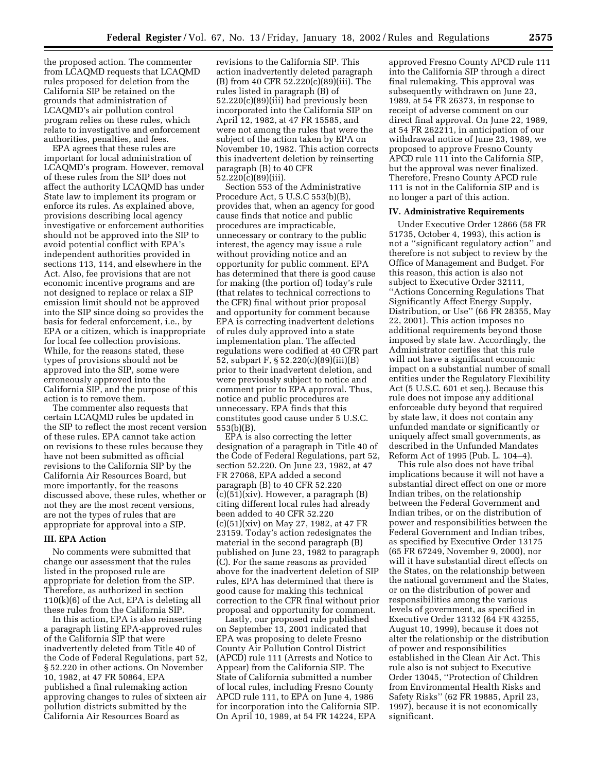the proposed action. The commenter from LCAQMD requests that LCAQMD rules proposed for deletion from the California SIP be retained on the grounds that administration of LCAQMD's air pollution control program relies on these rules, which relate to investigative and enforcement authorities, penalties, and fees.

EPA agrees that these rules are important for local administration of LCAQMD's program. However, removal of these rules from the SIP does not affect the authority LCAQMD has under State law to implement its program or enforce its rules. As explained above, provisions describing local agency investigative or enforcement authorities should not be approved into the SIP to avoid potential conflict with EPA's independent authorities provided in sections 113, 114, and elsewhere in the Act. Also, fee provisions that are not economic incentive programs and are not designed to replace or relax a SIP emission limit should not be approved into the SIP since doing so provides the basis for federal enforcement, i.e., by EPA or a citizen, which is inappropriate for local fee collection provisions. While, for the reasons stated, these types of provisions should not be approved into the SIP, some were erroneously approved into the California SIP, and the purpose of this action is to remove them.

The commenter also requests that certain LCAQMD rules be updated in the SIP to reflect the most recent version of these rules. EPA cannot take action on revisions to these rules because they have not been submitted as official revisions to the California SIP by the California Air Resources Board, but more importantly, for the reasons discussed above, these rules, whether or not they are the most recent versions, are not the types of rules that are appropriate for approval into a SIP.

### **III. EPA Action**

No comments were submitted that change our assessment that the rules listed in the proposed rule are appropriate for deletion from the SIP. Therefore, as authorized in section 110(k)(6) of the Act, EPA is deleting all these rules from the California SIP.

In this action, EPA is also reinserting a paragraph listing EPA-approved rules of the California SIP that were inadvertently deleted from Title 40 of the Code of Federal Regulations, part 52, § 52.220 in other actions. On November 10, 1982, at 47 FR 50864, EPA published a final rulemaking action approving changes to rules of sixteen air pollution districts submitted by the California Air Resources Board as

revisions to the California SIP. This action inadvertently deleted paragraph (B) from 40 CFR 52.220(c)(89)(iii). The rules listed in paragraph (B) of 52.220(c)(89)(iii) had previously been incorporated into the California SIP on April 12, 1982, at 47 FR 15585, and were not among the rules that were the subject of the action taken by EPA on November 10, 1982. This action corrects this inadvertent deletion by reinserting paragraph (B) to 40 CFR 52.220(c)(89)(iii).

Section 553 of the Administrative Procedure Act, 5 U.S.C 553(b)(B), provides that, when an agency for good cause finds that notice and public procedures are impracticable, unnecessary or contrary to the public interest, the agency may issue a rule without providing notice and an opportunity for public comment. EPA has determined that there is good cause for making (the portion of) today's rule (that relates to technical corrections to the CFR) final without prior proposal and opportunity for comment because EPA is correcting inadvertent deletions of rules duly approved into a state implementation plan. The affected regulations were codified at 40 CFR part 52, subpart F, § 52.220(c)(89)(iii)(B) prior to their inadvertent deletion, and were previously subject to notice and comment prior to EPA approval. Thus, notice and public procedures are unnecessary. EPA finds that this constitutes good cause under 5 U.S.C. 553(b)(B).

EPA is also correcting the letter designation of a paragraph in Title 40 of the Code of Federal Regulations, part 52, section 52.220. On June 23, 1982, at 47 FR 27068, EPA added a second paragraph (B) to 40 CFR 52.220  $(c)(51)(xiv)$ . However, a paragraph  $(B)$ citing different local rules had already been added to 40 CFR 52.220 (c)(51)(xiv) on May 27, 1982, at 47 FR 23159. Today's action redesignates the material in the second paragraph (B) published on June 23, 1982 to paragraph (C). For the same reasons as provided above for the inadvertent deletion of SIP rules, EPA has determined that there is good cause for making this technical correction to the CFR final without prior proposal and opportunity for comment.

Lastly, our proposed rule published on September 13, 2001 indicated that EPA was proposing to delete Fresno County Air Pollution Control District (APCD) rule 111 (Arrests and Notice to Appear) from the California SIP. The State of California submitted a number of local rules, including Fresno County APCD rule 111, to EPA on June 4, 1986 for incorporation into the California SIP. On April 10, 1989, at 54 FR 14224, EPA

approved Fresno County APCD rule 111 into the California SIP through a direct final rulemaking. This approval was subsequently withdrawn on June 23, 1989, at 54 FR 26373, in response to receipt of adverse comment on our direct final approval. On June 22, 1989, at 54 FR 262211, in anticipation of our withdrawal notice of June 23, 1989, we proposed to approve Fresno County APCD rule 111 into the California SIP, but the approval was never finalized. Therefore, Fresno County APCD rule 111 is not in the California SIP and is no longer a part of this action.

#### **IV. Administrative Requirements**

Under Executive Order 12866 (58 FR 51735, October 4, 1993), this action is not a ''significant regulatory action'' and therefore is not subject to review by the Office of Management and Budget. For this reason, this action is also not subject to Executive Order 32111, ''Actions Concerning Regulations That Significantly Affect Energy Supply, Distribution, or Use'' (66 FR 28355, May 22, 2001). This action imposes no additional requirements beyond those imposed by state law. Accordingly, the Administrator certifies that this rule will not have a significant economic impact on a substantial number of small entities under the Regulatory Flexibility Act (5 U.S.C. 601 et seq.). Because this rule does not impose any additional enforceable duty beyond that required by state law, it does not contain any unfunded mandate or significantly or uniquely affect small governments, as described in the Unfunded Mandates Reform Act of 1995 (Pub. L. 104–4).

This rule also does not have tribal implications because it will not have a substantial direct effect on one or more Indian tribes, on the relationship between the Federal Government and Indian tribes, or on the distribution of power and responsibilities between the Federal Government and Indian tribes, as specified by Executive Order 13175 (65 FR 67249, November 9, 2000), nor will it have substantial direct effects on the States, on the relationship between the national government and the States, or on the distribution of power and responsibilities among the various levels of government, as specified in Executive Order 13132 (64 FR 43255, August 10, 1999), because it does not alter the relationship or the distribution of power and responsibilities established in the Clean Air Act. This rule also is not subject to Executive Order 13045, ''Protection of Children from Environmental Health Risks and Safety Risks'' (62 FR 19885, April 23, 1997), because it is not economically significant.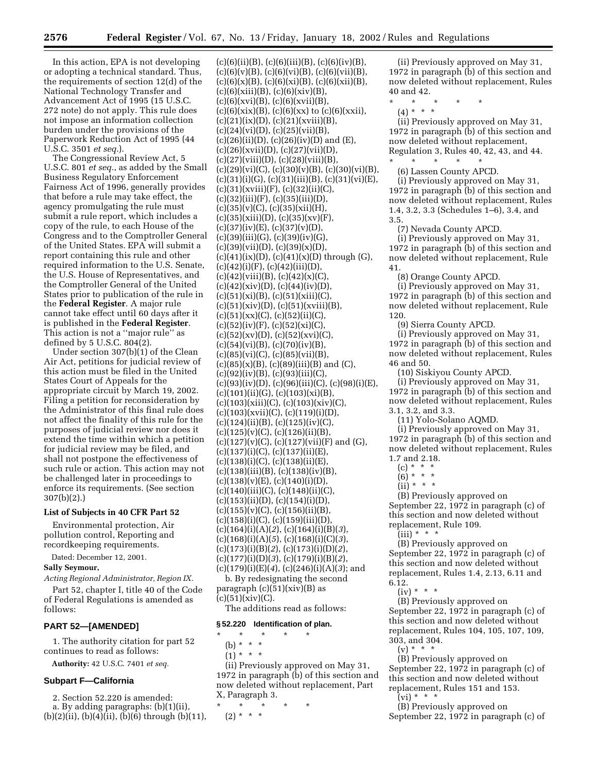In this action, EPA is not developing or adopting a technical standard. Thus, the requirements of section 12(d) of the National Technology Transfer and Advancement Act of 1995 (15 U.S.C. 272 note) do not apply. This rule does not impose an information collection burden under the provisions of the Paperwork Reduction Act of 1995 (44 U.S.C. 3501 *et seq.*).

The Congressional Review Act, 5 U.S.C. 801 *et seq.*, as added by the Small Business Regulatory Enforcement Fairness Act of 1996, generally provides that before a rule may take effect, the agency promulgating the rule must submit a rule report, which includes a copy of the rule, to each House of the Congress and to the Comptroller General of the United States. EPA will submit a report containing this rule and other required information to the U.S. Senate, the U.S. House of Representatives, and the Comptroller General of the United States prior to publication of the rule in the **Federal Register**. A major rule cannot take effect until 60 days after it is published in the **Federal Register**. This action is not a ''major rule'' as defined by 5 U.S.C. 804(2).

Under section 307(b)(1) of the Clean Air Act, petitions for judicial review of this action must be filed in the United States Court of Appeals for the appropriate circuit by March 19, 2002. Filing a petition for reconsideration by the Administrator of this final rule does not affect the finality of this rule for the purposes of judicial review nor does it extend the time within which a petition for judicial review may be filed, and shall not postpone the effectiveness of such rule or action. This action may not be challenged later in proceedings to enforce its requirements. (See section 307(b)(2).)

### **List of Subjects in 40 CFR Part 52**

Environmental protection, Air pollution control, Reporting and recordkeeping requirements.

Dated: December 12, 2001.

# **Sally Seymour,**

*Acting Regional Administrator, Region IX.*

Part 52, chapter I, title 40 of the Code of Federal Regulations is amended as follows:

### **PART 52—[AMENDED]**

1. The authority citation for part 52 continues to read as follows:

**Authority:** 42 U.S.C. 7401 *et seq.*

### **Subpart F—California**

2. Section 52.220 is amended: a. By adding paragraphs: (b)(1)(ii), (b)(2)(ii), (b)(4)(ii), (b)(6) through (b)(11),  $(c)(6)(ii)(B), (c)(6)(iii)(B), (c)(6)(iv)(B),$  $(c)(6)(v)(B), (c)(6)(vi)(B), (c)(6)(vii)(B),$  $(c)(6)(x)(B), (c)(6)(xi)(B), (c)(6)(xii)(B),$  $(c)(6)(xiii)(B), (c)(6)(xiv)(B),$  $(c)(6)(xvi)(B), (c)(6)(xvii)(B),$  $(c)(6)(\text{six})(B)$ ,  $(c)(6)(\text{xx})$  to  $(c)(6)(\text{xxii})$ ,  $(c)(21)(ix)(D), (c)(21)(xviii)(B),$  $(c)(24)(vi)(D), (c)(25)(vii)(B),$  $(c)(26)(ii)(D), (c)(26)(iv)(D)$  and  $(E),$  $(c)(26)(xvii)(D), (c)(27)(vii)(D),$  $(c)(27)(viii)(D), (c)(28)(viii)(B),$  $(c)(29)(vi)(C), (c)(30)(v)(B), (c)(30)(vi)(B),$  $(c)(31)(i)(G), (c)(31)(iii)(B), (c)(31)(vi)(E),$ (c)(31)(xviii)(F), (c)(32)(ii)(C),  $(c)(32)(iii)(F), (c)(35)(iii)(D),$  $(c)(35)(v)(C), (c)(35)(xii)(H),$  $(c)(35)(xiii)(D), (c)(35)(xv)(F),$  $(c)(37)(iv)(E)$ ,  $(c)(37)(v)(D)$ ,  $(c)(39)(iii)(G), (c)(39)(iv)(G),$  $(c)(39)(vii)(D), (c)(39)(x)(D),$  $(c)(41)(ix)(D), (c)(41)(x)(D)$  through  $(G)$ ,  $(c)(42)(i)(F)$ ,  $(c)(42)(iii)(D)$ ,  $(c)(42)(viii)(B), (c)(42)(x)(C),$  $(c)(42)(xiv)(D), (c)(44)(iv)(D),$  $(c)(51)(xi)(B)$ ,  $(c)(51)(xiii)(C)$ ,  $(c)(51)(xiv)(D), (c)(51)(xviii)(B),$  $(c)(51)(xx)(C), (c)(52)(ii)(C),$  $(c)(52)(iv)(F)$ ,  $(c)(52)(xi)(C)$ ,  $(c)(52)(xv)(D), (c)(52)(xvi)(C),$  $(c)(54)(vi)(B)$ ,  $(c)(70)(iv)(B)$ , (c)(85)(vi)(C), (c)(85)(vii)(B),  $(c)(85)(x)(B)$ ,  $(c)(89)(iii)(B)$  and  $(C)$ ,  $(c)(92)(iv)(B), (c)(93)(iii)(C),$ (c)(93)(iv)(D), (c)(96)(iii)(C), (c)(98)(i)(E),  $(c)(101)(ii)(G), (c)(103)(xi)(B),$  $(c)(103)(xiii)(C), (c)(103)(xiv)(C),$ (c)(103)(xvii)(C), (c)(119)(i)(D),  $(c)(124)(ii)(B), (c)(125)(iv)(C),$ (c)(125)(v)(C), (c)(126)(ii)(B),  $(c)(127)(v)(C), (c)(127)(vii)(F)$  and  $(G),$  $(c)(137)(i)(C), (c)(137)(ii)(E),$ (c)(138)(i)(C), (c)(138)(ii)(E), (c)(138)(iii)(B), (c)(138)(iv)(B),  $(c)(138)(v)(E)$ ,  $(c)(140)(i)(D)$ , (c)(140)(iii)(C), (c)(148)(ii)(C),  $(c)(153)(ii)(D), (c)(154)(i)(D),$  $(c)(155)(v)(C), (c)(156)(ii)(B),$  $(c)(158)(i)(C), (c)(159)(iii)(D),$ (c)(164)(i)(A)(*2*), (c)(164)(i)(B)(*3*), (c)(168)(i)(A)(*5*), (c)(168)(i)(C)(*3*), (c)(173)(i)(B)(*2*), (c)(173)(i)(D)(*2*), (c)(177)(i)(D)(*3*), (c)(179)(i)(B)(*2*), (c)(179)(i)(E)(*4*), (c)(246)(i)(A)(*3*); and b. By redesignating the second

paragraph  $(c)(51)(xiv)(B)$  as  $(c)(51)(xiv)(C).$ 

The additions read as follows:

### **§ 52.220 Identification of plan.**

- \* \* \* \* \* (b) \* \* \*
	- $(1) * * * *$

(ii) Previously approved on May 31, 1972 in paragraph (b) of this section and now deleted without replacement, Part X, Paragraph 3.

\* \* \* \* \* (2) \* \* \*

(ii) Previously approved on May 31, 1972 in paragraph (b) of this section and now deleted without replacement, Rules 40 and 42.

- \* \* \* \* \*
	- (4) \* \* \*

(ii) Previously approved on May 31, 1972 in paragraph (b) of this section and now deleted without replacement, Regulation 3, Rules 40, 42, 43, and 44.

\* \* \* \* \* (6) Lassen County APCD.

(i) Previously approved on May 31, 1972 in paragraph (b) of this section and now deleted without replacement, Rules 1.4, 3.2, 3.3 (Schedules 1–6), 3.4, and 3.5.

(7) Nevada County APCD.

(i) Previously approved on May 31, 1972 in paragraph (b) of this section and now deleted without replacement, Rule 41.

(8) Orange County APCD.

(i) Previously approved on May 31, 1972 in paragraph (b) of this section and now deleted without replacement, Rule 120.

(9) Sierra County APCD.

(i) Previously approved on May 31, 1972 in paragraph (b) of this section and now deleted without replacement, Rules 46 and 50.

(10) Siskiyou County APCD.

(i) Previously approved on May 31, 1972 in paragraph (b) of this section and now deleted without replacement, Rules 3.1, 3.2, and 3.3.

(11) Yolo-Solano AQMD.

(i) Previously approved on May 31, 1972 in paragraph (b) of this section and now deleted without replacement, Rules 1.7 and 2.18.

- (c) \* \* \*
- (6) \* \* \*  $(ii) * * * *$
- 

(B) Previously approved on September 22, 1972 in paragraph (c) of this section and now deleted without replacement, Rule 109.

 $(iii) * * * *$ 

(B) Previously approved on September 22, 1972 in paragraph (c) of this section and now deleted without replacement, Rules 1.4, 2.13, 6.11 and 6.12.

 $(iv) * * * *$ 

(B) Previously approved on September 22, 1972 in paragraph (c) of this section and now deleted without replacement, Rules 104, 105, 107, 109, 303, and 304.

 $(v) * * * *$ 

(B) Previously approved on September 22, 1972 in paragraph (c) of this section and now deleted without replacement, Rules 151 and 153.

 $(vi) * * *$ 

(B) Previously approved on September 22, 1972 in paragraph (c) of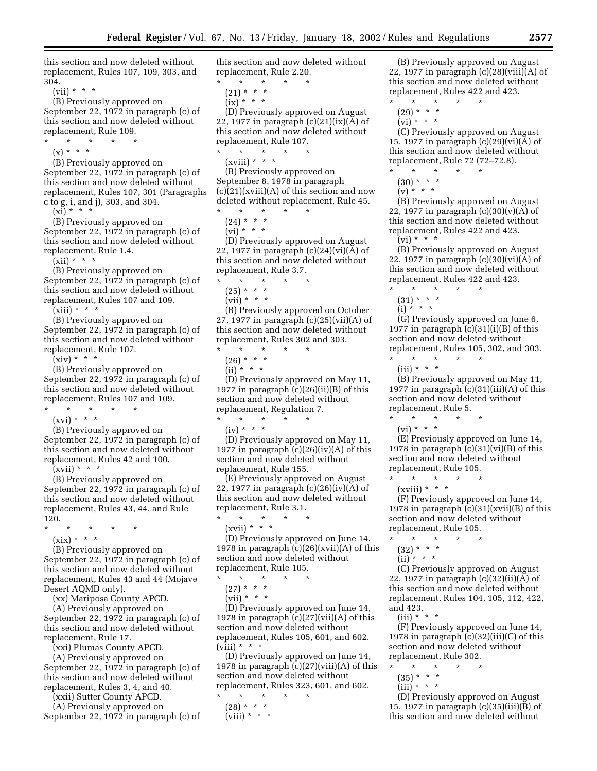this section and now deleted without replacement, Rules 107, 109, 303, and 304.

(vii) \* \* \*

- (B) Previously approved on September 22, 1972 in paragraph (c) of this section and now deleted without replacement, Rule 109.
	- \* \* \* \* \*
	- $(x) * * * *$
- (B) Previously approved on September 22, 1972 in paragraph (c) of this section and now deleted without replacement, Rules 107, 301 (Paragraphs c to g, i, and j), 303, and 304.

 $(x_i) * * * *$ 

(B) Previously approved on September 22, 1972 in paragraph (c) of this section and now deleted without replacement, Rule 1.4.

 $(xii) * * * *$ 

(B) Previously approved on September 22, 1972 in paragraph (c) of this section and now deleted without replacement, Rules 107 and 109.

 $(xiii)$  \* \* \*

(B) Previously approved on September 22, 1972 in paragraph (c) of this section and now deleted without replacement, Rule 107.

 $(xiv) * * * *$ 

(B) Previously approved on September 22, 1972 in paragraph (c) of this section and now deleted without replacement, Rules 107 and 109.

- \* \* \* \* \*
	- (xvi) \* \* \*

(B) Previously approved on September 22, 1972 in paragraph (c) of this section and now deleted without replacement, Rules 42 and 100.

 $(xvii) * * * *$ 

(B) Previously approved on September 22, 1972 in paragraph (c) of this section and now deleted without replacement, Rules 43, 44, and Rule 120.

- \* \* \* \* \*
	- (xix) \* \* \*

(B) Previously approved on September 22, 1972 in paragraph (c) of this section and now deleted without replacement, Rules 43 and 44 (Mojave Desert AQMD only).

(xx) Mariposa County APCD.

(A) Previously approved on September 22, 1972 in paragraph (c) of this section and now deleted without

replacement, Rule 17.

(xxi) Plumas County APCD.

(A) Previously approved on September 22, 1972 in paragraph (c) of this section and now deleted without replacement, Rules 3, 4, and 40.

(xxii) Sutter County APCD.

(A) Previously approved on

September 22, 1972 in paragraph (c) of

this section and now deleted without replacement, Rule 2.20.

- \* \* \* \* \*
- $(21) * * * *$  $(ix) * * * *$

(D) Previously approved on August 22, 1977 in paragraph  $(c)(21)(ix)(A)$  of this section and now deleted without replacement, Rule 107.

\* \* \* \* \*  $(xviii) * * * *$ 

(B) Previously approved on September 8, 1978 in paragraph  $(c)(21)(xviii)(A)$  of this section and now deleted without replacement, Rule 45.

\* \* \* \* \*

 $(24) * * * *$  $(vi)$ <sup>\*</sup> \* \*

(D) Previously approved on August 22, 1977 in paragraph (c)(24)(vi)(A) of this section and now deleted without replacement, Rule 3.7.

- \* \* \* \* \*
- $(25) * * * *$
- $(vii) * * * *$

(B) Previously approved on October 27, 1977 in paragraph (c)(25)(vii)(A) of this section and now deleted without replacement, Rules 302 and 303.

\* \* \* \* \*

 $(26) * * * *$ 

 $(iii)$  \* \* \*

(D) Previously approved on May 11, 1977 in paragraph (c)(26)(ii)(B) of this section and now deleted without replacement, Regulation 7.  $\star$   $\qquad$   $\star$   $\qquad$   $\star$ 

 $(iv) * * * *$ 

(D) Previously approved on May 11, 1977 in paragraph  $(c)(26)(iv)(A)$  of this section and now deleted without replacement, Rule 155.

(E) Previously approved on August 22, 1977 in paragraph  $(c)(26)(iv)(A)$  of this section and now deleted without replacement, Rule 3.1.

- \* \* \* \* \*
- (xvii) \* \* \*

(D) Previously approved on June 14, 1978 in paragraph (c)(26)(xvii)(A) of this section and now deleted without replacement, Rule 105.

- $\star$   $\qquad$   $\star$   $\qquad$   $\star$
- $(27) * * * *$
- $(vii) * * * *$

(D) Previously approved on June 14, 1978 in paragraph (c)(27)(vii)(A) of this section and now deleted without replacement, Rules 105, 601, and 602. (viii)  $* * * *$ 

(D) Previously approved on June 14, 1978 in paragraph (c)(27)(viii)(A) of this section and now deleted without replacement, Rules 323, 601, and 602.

- \* \* \* \* \* (28) \* \* \*
	- $(viii) * * * *$

(B) Previously approved on August 22, 1977 in paragraph (c)(28)(viii)(A) of this section and now deleted without replacement, Rules 422 and 423.

- \* \* \* \* \* (29) \* \* \*
	- $(vi)$ <sup>\*</sup> \* \*

(C) Previously approved on August 15, 1977 in paragraph (c)(29)(vi)(A) of this section and now deleted without replacement, Rule 72 (72–72.8).

- \* \* \* \* \*
- $(30) * * * *$
- $(v)$ <sup>\*</sup> \* \*

(B) Previously approved on August 22, 1977 in paragraph  $(c)(30)(v)(A)$  of this section and now deleted without replacement, Rules 422 and 423.  $(vi) * * *$ 

- (B) Previously approved on August 22, 1977 in paragraph (c)(30)(vi)(A) of this section and now deleted without replacement, Rules 422 and 423.
- \* \* \* \* \*
	- $(31) * * * *$
	- $(i) * * * *$

(G) Previously approved on June 6, 1977 in paragraph  $(c)(31)(i)(B)$  of this section and now deleted without replacement, Rules 105, 302, and 303. \* \* \* \* \*

- 
- $(iii) * * * *$

(B) Previously approved on May 11, 1977 in paragraph  $(c)(31)(iii)(A)$  of this section and now deleted without replacement, Rule 5.

\* \* \* \* \*  $(vi) * * * *$ 

(E) Previously approved on June 14, 1978 in paragraph  $(c)(31)(vi)(B)$  of this section and now deleted without replacement, Rule 105.

\* \* \* \* \*

(xviii) \* \* \*

(F) Previously approved on June 14, 1978 in paragraph  $(c)(31)(xvi)(B)$  of this section and now deleted without replacement, Rule 105.

- \* \* \* \* \*
	- $(32) * * * *$
	- $(ii)$ <sup>\*</sup> \* \*

(C) Previously approved on August 22, 1977 in paragraph (c)(32)(ii)(A) of this section and now deleted without replacement, Rules 104, 105, 112, 422, and 423.

 $(iii) * * * *$ 

(F) Previously approved on June 14, 1978 in paragraph (c)(32)(iii)(C) of this section and now deleted without replacement, Rule 302.

- \* \* \* \* \*
	- (35) \* \* \*
	- $(iii) * * * *$

(D) Previously approved on August 15, 1977 in paragraph (c)(35)(iii)(B) of this section and now deleted without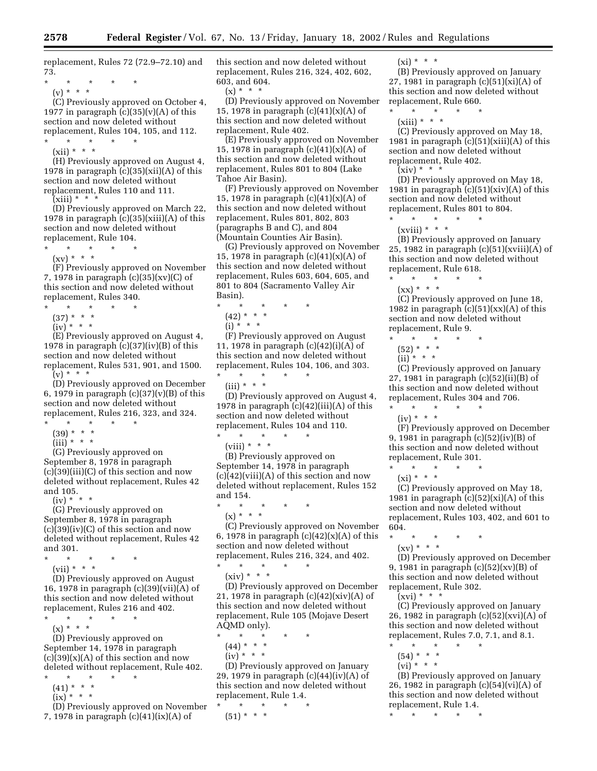replacement, Rules 72 (72.9–72.10) and 73.

\* \* \* \* \* (v) \* \* \*

(C) Previously approved on October 4, 1977 in paragraph  $(c)(35)(v)(A)$  of this section and now deleted without replacement, Rules 104, 105, and 112.

\* \* \* \* \*

 $(xii) * * * *$ 

(H) Previously approved on August 4, 1978 in paragraph  $(c)(35)(xii)(A)$  of this section and now deleted without replacement, Rules 110 and 111.

 $(xiii) * * * *$ 

(D) Previously approved on March 22, 1978 in paragraph  $(c)(35)(xiii)(A)$  of this section and now deleted without replacement, Rule 104.

- \* \* \* \* \*
	- $(xv) * * * *$

(F) Previously approved on November 7, 1978 in paragraph (c)(35)(xv)(C) of this section and now deleted without replacement, Rules 340.

- \* \* \* \* \*
- (37) \* \* \*
- $(iv)$  \* \* \*

(E) Previously approved on August 4, 1978 in paragraph  $(c)(37)(iv)(B)$  of this section and now deleted without replacement, Rules 531, 901, and 1500.

 $(v) * * * *$ 

(D) Previously approved on December 6, 1979 in paragraph  $(c)(37)(v)(B)$  of this section and now deleted without replacement, Rules 216, 323, and 324.

- $\star$   $\star$   $\star$   $\star$
- $(39) * * * *$  $(iii) * * * *$
- 

(G) Previously approved on September 8, 1978 in paragraph (c)(39)(iii)(C) of this section and now deleted without replacement, Rules 42 and 105.

 $(iv) * *$ 

(G) Previously approved on September 8, 1978 in paragraph  $(c)(39)(iv)(C)$  of this section and now deleted without replacement, Rules 42 and 301.

- \* \* \* \* \*
- $(vii) * * * *$

(D) Previously approved on August 16, 1978 in paragraph (c)(39)(vii)(A) of this section and now deleted without replacement, Rules 216 and 402. \* \* \* \* \*

 $(x) * * * *$ 

(D) Previously approved on September 14, 1978 in paragraph  $(c)(39)(x)(A)$  of this section and now deleted without replacement, Rule 402.

- \* \* \* \* \*  $(41) * * * *$ 
	- $(ix)$ <sup>\*</sup> \* \*
- (D) Previously approved on November 7, 1978 in paragraph (c)(41)(ix)(A) of

this section and now deleted without replacement, Rules 216, 324, 402, 602, 603, and 604.

 $(x) * * * *$ 

(D) Previously approved on November 15, 1978 in paragraph (c)(41)(x)(A) of this section and now deleted without replacement, Rule 402.

(E) Previously approved on November 15, 1978 in paragraph (c)(41)(x)(A) of this section and now deleted without replacement, Rules 801 to 804 (Lake Tahoe Air Basin).

(F) Previously approved on November 15, 1978 in paragraph  $(c)(41)(x)(A)$  of this section and now deleted without replacement, Rules 801, 802, 803 (paragraphs B and C), and 804 (Mountain Counties Air Basin).

(G) Previously approved on November 15, 1978 in paragraph  $(c)(41)(x)(A)$  of this section and now deleted without replacement, Rules 603, 604, 605, and 801 to 804 (Sacramento Valley Air Basin).

- \* \* \* \* \*
- $(42) * * * *$
- $(i) * * * *$

(F) Previously approved on August 11, 1978 in paragraph (c)(42)(i)(A) of this section and now deleted without replacement, Rules 104, 106, and 303. \* \* \* \* \*

 $(iii) * * * *$ 

(D) Previously approved on August 4, 1978 in paragraph  $(c)(42)(iii)(A)$  of this section and now deleted without replacement, Rules 104 and 110.

\* \* \* \* \* (viii)  $* * * *$ 

(B) Previously approved on September 14, 1978 in paragraph  $(c)(42)(viii)(A)$  of this section and now deleted without replacement, Rules 152 and 154.

- \* \* \* \* \*
- $(x) * * * *$

(C) Previously approved on November 6, 1978 in paragraph  $(c)(42)(x)(A)$  of this section and now deleted without replacement, Rules 216, 324, and 402.

 $\star$   $\star$   $\star$  $(xiv) * * * *$ 

(D) Previously approved on December 21, 1978 in paragraph  $(c)(42)(xiv)(A)$  of this section and now deleted without replacement, Rule 105 (Mojave Desert AQMD only).

 $\star$   $\star$ 

- $(44) * * * *$
- $(iv) * * * *$

(D) Previously approved on January 29, 1979 in paragraph  $(c)(44)(iv)(A)$  of this section and now deleted without replacement, Rule 1.4.

 $\star$   $\star$  $(51) * * * *$ 

 $(x_i) * * * *$ 

(B) Previously approved on January 27, 1981 in paragraph (c)(51)(xi)(A) of this section and now deleted without replacement, Rule 660.

\* \* \* \* \*  $(xiii) * * * *$ 

(C) Previously approved on May 18, 1981 in paragraph  $(c)(51)(xiii)(A)$  of this section and now deleted without replacement, Rule 402.

 $(xiv) * * * *$ 

(D) Previously approved on May 18, 1981 in paragraph  $(c)(51)(xiv)(A)$  of this section and now deleted without replacement, Rules 801 to 804.

\* \* \* \* \*  $(xviii) * * * *$ 

(B) Previously approved on January 25, 1982 in paragraph  $(c)(51)(xviii)(A)$  of this section and now deleted without replacement, Rule 618.

\* \* \* \* \*  $(xx) * * * *$ 

(C) Previously approved on June 18, 1982 in paragraph  $(c)(51)(xx)(A)$  of this section and now deleted without replacement, Rule 9.

- $\star$   $\qquad$   $\star$   $\qquad$   $\star$
- $(52) * * * *$
- $(ii)$ <sup>\*</sup> \* \*

(C) Previously approved on January 27, 1981 in paragraph (c)(52)(ii)(B) of this section and now deleted without replacement, Rules 304 and 706. \* \* \* \* \*

 $(iv) * * * *$ 

(F) Previously approved on December 9, 1981 in paragraph (c)(52)(iv)(B) of this section and now deleted without replacement, Rule 301.

\* \* \* \* \*

 $(xi) * * * *$ 

(C) Previously approved on May 18, 1981 in paragraph  $(c)(52)(xi)(A)$  of this section and now deleted without replacement, Rules 103, 402, and 601 to 604.

- \* \* \* \* \*
	- (xv) \* \* \*

(D) Previously approved on December 9, 1981 in paragraph (c)(52)(xv)(B) of this section and now deleted without replacement, Rule 302.

 $(xvi) * * * *$ 

(C) Previously approved on January 26, 1982 in paragraph (c)(52)(xvi)(A) of this section and now deleted without replacement, Rules 7.0, 7.1, and 8.1.

- \* \* \* \* \*
- $(54) * * * *$
- $(vi) * * * *$

(B) Previously approved on January 26, 1982 in paragraph (c)(54)(vi)(A) of this section and now deleted without replacement, Rule 1.4.

<sup>\* \* \* \* \*</sup>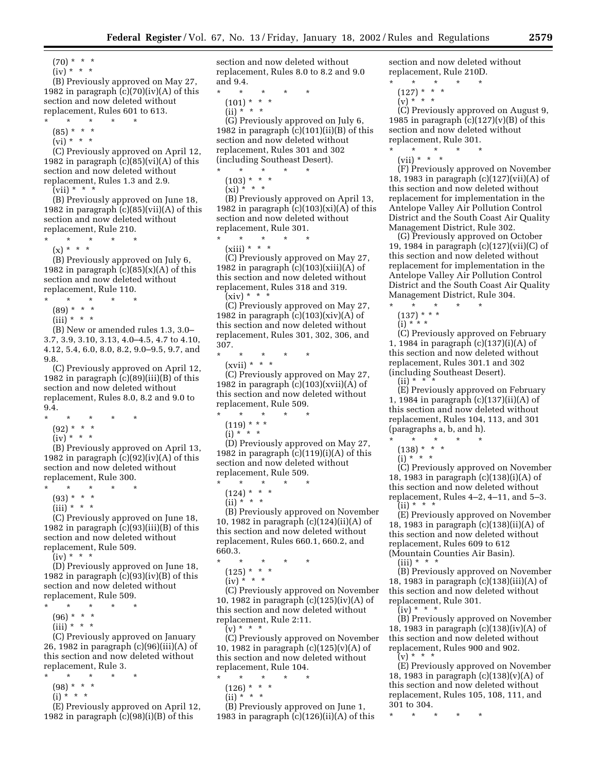- $(70) * * * *$
- $(iv) * * * *$

(B) Previously approved on May 27, 1982 in paragraph  $(c)(70)(iv)(A)$  of this section and now deleted without replacement, Rules 601 to 613.

- \* \* \* \* \*
- $(85) * * * *$
- $\overrightarrow{(vi)}$  \* \* \*

(C) Previously approved on April 12, 1982 in paragraph  $(c)(85)(vi)(A)$  of this section and now deleted without replacement, Rules 1.3 and 2.9.

 $(vii) * * * *$ 

(B) Previously approved on June 18, 1982 in paragraph (c)(85)(vii)(A) of this section and now deleted without replacement, Rule 210.

- \* \* \* \* \*
- $(x) * * * *$

(B) Previously approved on July 6, 1982 in paragraph  $(c)(85)(x)(A)$  of this section and now deleted without replacement, Rule 110.

 $\star$   $\star$   $\star$ 

- $(89) * * * *$
- $(iii) * * * *$

(B) New or amended rules 1.3, 3.0– 3.7, 3.9, 3.10, 3.13, 4.0–4.5, 4.7 to 4.10, 4.12, 5.4, 6.0, 8.0, 8.2, 9.0–9.5, 9.7, and 9.8.

(C) Previously approved on April 12, 1982 in paragraph  $(c)(89)(iii)(B)$  of this section and now deleted without replacement, Rules 8.0, 8.2 and 9.0 to 9.4.

- \* \* \* \* \*
	- (92) \* \* \*
	- $(iv) * * * *$

(B) Previously approved on April 13, 1982 in paragraph  $(c)(92)(iv)(A)$  of this section and now deleted without replacement, Rule 300.

- \* \* \* \* \*
- $(93) * * * *$
- $(iii) * * * *$

(C) Previously approved on June 18, 1982 in paragraph (c)(93)(iii)(B) of this section and now deleted without replacement, Rule 509.

 $(iv) * * * *$ 

(D) Previously approved on June 18, 1982 in paragraph  $(c)(93)(iv)(B)$  of this section and now deleted without replacement, Rule 509.

- $\star$   $\quad$   $\star$   $\quad$   $\star$
- $(96) * * * *$
- $(iii) * * * *$

(C) Previously approved on January 26, 1982 in paragraph (c)(96)(iii)(A) of this section and now deleted without replacement, Rule 3.

- \* \* \* \* \*
- $(98) * * * *$
- $(i) * * * *$

(E) Previously approved on April 12, 1982 in paragraph  $(c)(98)(i)(B)$  of this

section and now deleted without replacement, Rules 8.0 to 8.2 and 9.0 and 9.4.

- \* \* \* \* \*
	- $(101) * * * *$ (ii) \* \* \*

(G) Previously approved on July 6, 1982 in paragraph  $(c)(101)(ii)(B)$  of this section and now deleted without replacement, Rules 301 and 302 (including Southeast Desert).

- \* \* \* \* \*  $(103) * * * *$ 
	- $(xi) * * * *$

(B) Previously approved on April 13, 1982 in paragraph  $(c)(103)(xi)(A)$  of this section and now deleted without replacement, Rule 301.

 $\star$   $\star$   $\star$ 

 $(xiii) * * * *$ 

(C) Previously approved on May 27, 1982 in paragraph  $(c)(103)(xiii)(A)$  of this section and now deleted without replacement, Rules 318 and 319.  $(xiv) * * * *$ 

(C) Previously approved on May 27, 1982 in paragraph  $(c)(103)(xiv)(A)$  of this section and now deleted without replacement, Rules 301, 302, 306, and 307.

- \* \* \* \* \*
- (xvii) \* \* \*

(C) Previously approved on May 27, 1982 in paragraph  $(c)(103)(xvi)(A)$  of this section and now deleted without replacement, Rule 509.

- \* \* \* \* \*
	- $(119)$  \* \* \*  $(i) * ' * *$
	-

(D) Previously approved on May 27, 1982 in paragraph  $(c)(119)(i)(A)$  of this section and now deleted without replacement, Rule 509.

- \* \* \* \* \*
- $(124) * * * *$ (ii) \* \* \*

(B) Previously approved on November 10, 1982 in paragraph (c)(124)(ii)(A) of this section and now deleted without replacement, Rules 660.1, 660.2, and 660.3.

- \* \* \* \* \*
	- (125) \* \* \*

 $(iv) * * * *$ 

(C) Previously approved on November 10, 1982 in paragraph (c)(125)(iv)(A) of this section and now deleted without replacement, Rule 2:11.

 $(v) * * * *$ (C) Previously approved on November 10, 1982 in paragraph  $(c)(125)(v)(A)$  of this section and now deleted without replacement, Rule 104.

- \* \* \* \* \*
	- $(126) * * * *$
	- $(ii) * * * *$

(B) Previously approved on June 1, 1983 in paragraph  $(c)(126)(ii)(A)$  of this section and now deleted without replacement, Rule 210D.

- $\star$   $\quad$   $\star$   $\quad$   $\star$
- $(127) * * * *$  $(v) * ' * *$
- 

(C) Previously approved on August 9, 1985 in paragraph  $(c)(127)(v)(B)$  of this section and now deleted without replacement, Rule 301.

\* \* \* \* \* (vii) \* \* \*

(F) Previously approved on November 18, 1983 in paragraph (c)(127)(vii)(A) of this section and now deleted without replacement for implementation in the Antelope Valley Air Pollution Control District and the South Coast Air Quality Management District, Rule 302.

(G) Previously approved on October 19, 1984 in paragraph (c)(127)(vii)(C) of this section and now deleted without replacement for implementation in the Antelope Valley Air Pollution Control District and the South Coast Air Quality Management District, Rule 304.

 $\star$   $\star$   $\star$  $(137)$  \* \* \*

 $(i) * * * *$ 

(C) Previously approved on February 1, 1984 in paragraph (c)(137)(i)(A) of this section and now deleted without replacement, Rules 301.1 and 302 (including Southeast Desert).  $(ii) * *$ 

(E) Previously approved on February 1, 1984 in paragraph (c)(137)(ii)(A) of this section and now deleted without replacement, Rules 104, 113, and 301 (paragraphs a, b, and h).

- $\star$   $\qquad$   $\star$   $\qquad$   $\star$
- (138) \* \* \*
- (i) \* \* \*

(C) Previously approved on November 18, 1983 in paragraph (c)(138)(i)(A) of this section and now deleted without replacement, Rules 4–2, 4–11, and 5–3.  $(iii) * * * *$ 

(E) Previously approved on November 18, 1983 in paragraph (c)(138)(ii)(A) of this section and now deleted without replacement, Rules 609 to 612 (Mountain Counties Air Basin).

 $(iii) * * * *$ 

(B) Previously approved on November 18, 1983 in paragraph (c)(138)(iii)(A) of this section and now deleted without replacement, Rule 301.

 $(iy) * * * *$ 

(B) Previously approved on November 18, 1983 in paragraph (c)(138)(iv)(A) of this section and now deleted without replacement, Rules 900 and 902.  $(v) * * * *$ 

(E) Previously approved on November 18, 1983 in paragraph (c)(138)(v)(A) of this section and now deleted without replacement, Rules 105, 108, 111, and 301 to 304.

\* \* \* \* \*